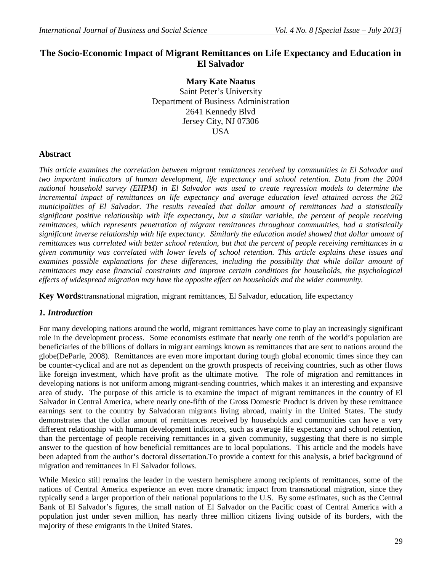# **The Socio-Economic Impact of Migrant Remittances on Life Expectancy and Education in El Salvador**

**Mary Kate Naatus** Saint Peter's University Department of Business Administration 2641 Kennedy Blvd Jersey City, NJ 07306 **USA** 

## **Abstract**

*This article examines the correlation between migrant remittances received by communities in El Salvador and two important indicators of human development, life expectancy and school retention. Data from the 2004 national household survey (EHPM) in El Salvador was used to create regression models to determine the incremental impact of remittances on life expectancy and average education level attained across the 262 municipalities of El Salvador. The results revealed that dollar amount of remittances had a statistically significant positive relationship with life expectancy, but a similar variable, the percent of people receiving remittances, which represents penetration of migrant remittances throughout communities, had a statistically significant inverse relationship with life expectancy. Similarly the education model showed that dollar amount of remittances was correlated with better school retention, but that the percent of people receiving remittances in a given community was correlated with lower levels of school retention. This article explains these issues and examines possible explanations for these differences, including the possibility that while dollar amount of remittances may ease financial constraints and improve certain conditions for households, the psychological effects of widespread migration may have the opposite effect on households and the wider community.* 

**Key Words:**transnational migration, migrant remittances, El Salvador, education, life expectancy

## *1. Introduction*

For many developing nations around the world, migrant remittances have come to play an increasingly significant role in the development process. Some economists estimate that nearly one tenth of the world's population are beneficiaries of the billions of dollars in migrant earnings known as remittances that are sent to nations around the globe(DeParle, 2008). Remittances are even more important during tough global economic times since they can be counter-cyclical and are not as dependent on the growth prospects of receiving countries, such as other flows like foreign investment, which have profit as the ultimate motive. The role of migration and remittances in developing nations is not uniform among migrant-sending countries, which makes it an interesting and expansive area of study. The purpose of this article is to examine the impact of migrant remittances in the country of El Salvador in Central America, where nearly one-fifth of the Gross Domestic Product is driven by these remittance earnings sent to the country by Salvadoran migrants living abroad, mainly in the United States. The study demonstrates that the dollar amount of remittances received by households and communities can have a very different relationship with human development indicators, such as average life expectancy and school retention, than the percentage of people receiving remittances in a given community, suggesting that there is no simple answer to the question of how beneficial remittances are to local populations. This article and the models have been adapted from the author's doctoral dissertation.To provide a context for this analysis, a brief background of migration and remittances in El Salvador follows.

While Mexico still remains the leader in the western hemisphere among recipients of remittances, some of the nations of Central America experience an even more dramatic impact from transnational migration, since they typically send a larger proportion of their national populations to the U.S. By some estimates, such as the Central Bank of El Salvador's figures, the small nation of El Salvador on the Pacific coast of Central America with a population just under seven million, has nearly three million citizens living outside of its borders, with the majority of these emigrants in the United States.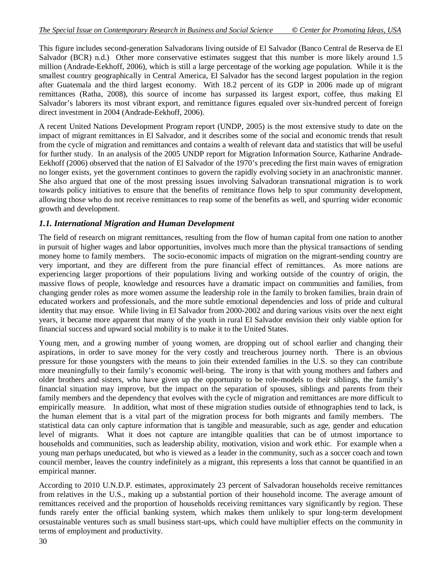This figure includes second-generation Salvadorans living outside of El Salvador (Banco Central de Reserva de El Salvador (BCR) n.d.) Other more conservative estimates suggest that this number is more likely around 1.5 million (Andrade-Eekhoff, 2006), which is still a large percentage of the working age population. While it is the smallest country geographically in Central America, El Salvador has the second largest population in the region after Guatemala and the third largest economy. With 18.2 percent of its GDP in 2006 made up of migrant remittances (Ratha, 2008), this source of income has surpassed its largest export, coffee, thus making El Salvador's laborers its most vibrant export, and remittance figures equaled over six-hundred percent of foreign direct investment in 2004 (Andrade-Eekhoff, 2006).

A recent United Nations Development Program report (UNDP, 2005) is the most extensive study to date on the impact of migrant remittances in El Salvador, and it describes some of the social and economic trends that result from the cycle of migration and remittances and contains a wealth of relevant data and statistics that will be useful for further study. In an analysis of the 2005 UNDP report for Migration Information Source, Katharine Andrade-Eekhoff (2006) observed that the nation of El Salvador of the 1970's preceding the first main waves of emigration no longer exists, yet the government continues to govern the rapidly evolving society in an anachronistic manner. She also argued that one of the most pressing issues involving Salvadoran transnational migration is to work towards policy initiatives to ensure that the benefits of remittance flows help to spur community development, allowing those who do not receive remittances to reap some of the benefits as well, and spurring wider economic growth and development.

# *1.1. International Migration and Human Development*

The field of research on migrant remittances, resulting from the flow of human capital from one nation to another in pursuit of higher wages and labor opportunities, involves much more than the physical transactions of sending money home to family members. The socio-economic impacts of migration on the migrant-sending country are very important, and they are different from the pure financial effect of remittances. As more nations are experiencing larger proportions of their populations living and working outside of the country of origin, the massive flows of people, knowledge and resources have a dramatic impact on communities and families, from changing gender roles as more women assume the leadership role in the family to broken families, brain drain of educated workers and professionals, and the more subtle emotional dependencies and loss of pride and cultural identity that may ensue. While living in El Salvador from 2000-2002 and during various visits over the next eight years, it became more apparent that many of the youth in rural El Salvador envision their only viable option for financial success and upward social mobility is to make it to the United States.

Young men, and a growing number of young women, are dropping out of school earlier and changing their aspirations, in order to save money for the very costly and treacherous journey north. There is an obvious pressure for those youngsters with the means to join their extended families in the U.S. so they can contribute more meaningfully to their family's economic well-being. The irony is that with young mothers and fathers and older brothers and sisters, who have given up the opportunity to be role-models to their siblings, the family's financial situation may improve, but the impact on the separation of spouses, siblings and parents from their family members and the dependency that evolves with the cycle of migration and remittances are more difficult to empirically measure. In addition, what most of these migration studies outside of ethnographies tend to lack, is the human element that is a vital part of the migration process for both migrants and family members. The statistical data can only capture information that is tangible and measurable, such as age, gender and education level of migrants. What it does not capture are intangible qualities that can be of utmost importance to households and communities, such as leadership ability, motivation, vision and work ethic. For example when a young man perhaps uneducated, but who is viewed as a leader in the community, such as a soccer coach and town council member, leaves the country indefinitely as a migrant, this represents a loss that cannot be quantified in an empirical manner.

According to 2010 U.N.D.P. estimates, approximately 23 percent of Salvadoran households receive remittances from relatives in the U.S., making up a substantial portion of their household income. The average amount of remittances received and the proportion of households receiving remittances vary significantly by region. These funds rarely enter the official banking system, which makes them unlikely to spur long-term development orsustainable ventures such as small business start-ups, which could have multiplier effects on the community in terms of employment and productivity.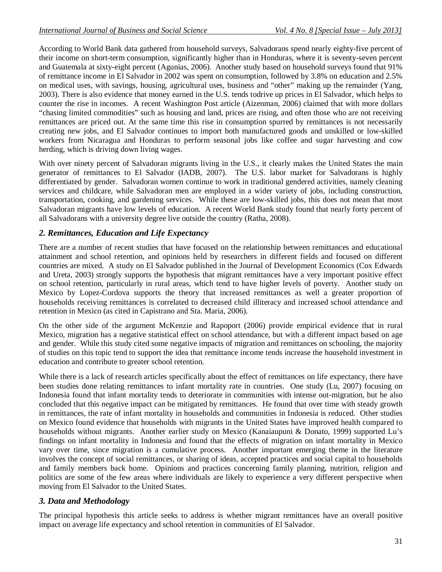According to World Bank data gathered from household surveys, Salvadorans spend nearly eighty-five percent of their income on short-term consumption, significantly higher than in Honduras, where it is seventy-seven percent and Guatemala at sixty-eight percent (Agunias, 2006). Another study based on household surveys found that 91% of remittance income in El Salvador in 2002 was spent on consumption, followed by 3.8% on education and 2.5% on medical uses, with savings, housing, agricultural uses, business and "other" making up the remainder (Yang, 2003). There is also evidence that money earned in the U.S. tends todrive up prices in El Salvador, which helps to counter the rise in incomes. A recent Washington Post article (Aizenman, 2006) claimed that with more dollars "chasing limited commodities" such as housing and land, prices are rising, and often those who are not receiving remittances are priced out. At the same time this rise in consumption spurred by remittances is not necessarily creating new jobs, and El Salvador continues to import both manufactured goods and unskilled or low-skilled workers from Nicaragua and Honduras to perform seasonal jobs like coffee and sugar harvesting and cow herding, which is driving down living wages.

With over ninety percent of Salvadoran migrants living in the U.S., it clearly makes the United States the main generator of remittances to El Salvador (IADB, 2007). The U.S. labor market for Salvadorans is highly differentiated by gender. Salvadoran women continue to work in traditional gendered activities, namely cleaning services and childcare, while Salvadoran men are employed in a wider variety of jobs, including construction, transportation, cooking, and gardening services. While these are low-skilled jobs, this does not mean that most Salvadoran migrants have low levels of education. A recent World Bank study found that nearly forty percent of all Salvadorans with a university degree live outside the country (Ratha, 2008).

# *2. Remittances, Education and Life Expectancy*

There are a number of recent studies that have focused on the relationship between remittances and educational attainment and school retention, and opinions held by researchers in different fields and focused on different countries are mixed. A study on El Salvador published in the Journal of Development Economics (Cox Edwards and Ureta, 2003) strongly supports the hypothesis that migrant remittances have a very important positive effect on school retention, particularly in rural areas, which tend to have higher levels of poverty. Another study on Mexico by Lopez-Cordova supports the theory that increased remittances as well a greater proportion of households receiving remittances is correlated to decreased child illiteracy and increased school attendance and retention in Mexico (as cited in Capistrano and Sta. Maria, 2006).

On the other side of the argument McKenzie and Rapoport (2006) provide empirical evidence that in rural Mexico, migration has a negative statistical effect on school attendance, but with a different impact based on age and gender. While this study cited some negative impacts of migration and remittances on schooling, the majority of studies on this topic tend to support the idea that remittance income tends increase the household investment in education and contribute to greater school retention.

While there is a lack of research articles specifically about the effect of remittances on life expectancy, there have been studies done relating remittances to infant mortality rate in countries. One study (Lu, 2007) focusing on Indonesia found that infant mortality tends to deteriorate in communities with intense out-migration, but he also concluded that this negative impact can be mitigated by remittances. He found that over time with steady growth in remittances, the rate of infant mortality in households and communities in Indonesia is reduced. Other studies on Mexico found evidence that households with migrants in the United States have improved health compared to households without migrants. Another earlier study on Mexico (Kanaiaupuni & Donato, 1999) supported Lu's findings on infant mortality in Indonesia and found that the effects of migration on infant mortality in Mexico vary over time, since migration is a cumulative process. Another important emerging theme in the literature involves the concept of social remittances, or sharing of ideas, accepted practices and social capital to households and family members back home. Opinions and practices concerning family planning, nutrition, religion and politics are some of the few areas where individuals are likely to experience a very different perspective when moving from El Salvador to the United States.

# *3. Data and Methodology*

The principal hypothesis this article seeks to address is whether migrant remittances have an overall positive impact on average life expectancy and school retention in communities of El Salvador.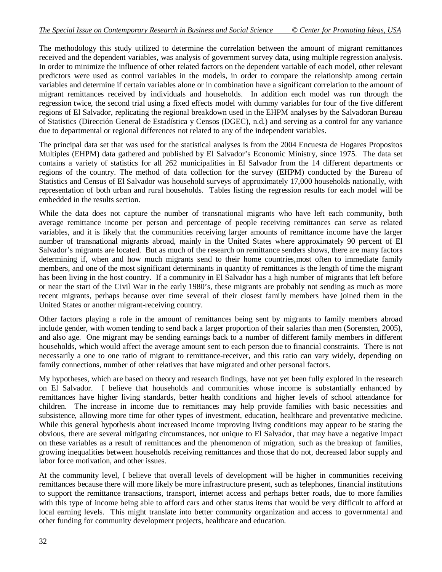The methodology this study utilized to determine the correlation between the amount of migrant remittances received and the dependent variables, was analysis of government survey data, using multiple regression analysis. In order to minimize the influence of other related factors on the dependent variable of each model, other relevant predictors were used as control variables in the models, in order to compare the relationship among certain variables and determine if certain variables alone or in combination have a significant correlation to the amount of migrant remittances received by individuals and households. In addition each model was run through the regression twice, the second trial using a fixed effects model with dummy variables for four of the five different regions of El Salvador, replicating the regional breakdown used in the EHPM analyses by the Salvadoran Bureau of Statistics (Dirección General de Estadística y Censos (DGEC), n.d.) and serving as a control for any variance due to departmental or regional differences not related to any of the independent variables.

The principal data set that was used for the statistical analyses is from the 2004 Encuesta de Hogares Propositos Multiples (EHPM) data gathered and published by El Salvador's Economic Ministry, since 1975. The data set contains a variety of statistics for all 262 municipalities in El Salvador from the 14 different departments or regions of the country. The method of data collection for the survey (EHPM) conducted by the Bureau of Statistics and Census of El Salvador was household surveys of approximately 17,000 households nationally, with representation of both urban and rural households. Tables listing the regression results for each model will be embedded in the results section.

While the data does not capture the number of transnational migrants who have left each community, both average remittance income per person and percentage of people receiving remittances can serve as related variables, and it is likely that the communities receiving larger amounts of remittance income have the larger number of transnational migrants abroad, mainly in the United States where approximately 90 percent of El Salvador's migrants are located. But as much of the research on remittance senders shows, there are many factors determining if, when and how much migrants send to their home countries,most often to immediate family members, and one of the most significant determinants in quantity of remittances is the length of time the migrant has been living in the host country. If a community in El Salvador has a high number of migrants that left before or near the start of the Civil War in the early 1980's, these migrants are probably not sending as much as more recent migrants, perhaps because over time several of their closest family members have joined them in the United States or another migrant-receiving country.

Other factors playing a role in the amount of remittances being sent by migrants to family members abroad include gender, with women tending to send back a larger proportion of their salaries than men (Sorensten, 2005), and also age. One migrant may be sending earnings back to a number of different family members in different households, which would affect the average amount sent to each person due to financial constraints. There is not necessarily a one to one ratio of migrant to remittance-receiver, and this ratio can vary widely, depending on family connections, number of other relatives that have migrated and other personal factors.

My hypotheses, which are based on theory and research findings, have not yet been fully explored in the research on El Salvador. I believe that households and communities whose income is substantially enhanced by remittances have higher living standards, better health conditions and higher levels of school attendance for children. The increase in income due to remittances may help provide families with basic necessities and subsistence, allowing more time for other types of investment, education, healthcare and preventative medicine. While this general hypothesis about increased income improving living conditions may appear to be stating the obvious, there are several mitigating circumstances, not unique to El Salvador, that may have a negative impact on these variables as a result of remittances and the phenomenon of migration, such as the breakup of families, growing inequalities between households receiving remittances and those that do not, decreased labor supply and labor force motivation, and other issues.

At the community level, I believe that overall levels of development will be higher in communities receiving remittances because there will more likely be more infrastructure present, such as telephones, financial institutions to support the remittance transactions, transport, internet access and perhaps better roads, due to more families with this type of income being able to afford cars and other status items that would be very difficult to afford at local earning levels. This might translate into better community organization and access to governmental and other funding for community development projects, healthcare and education.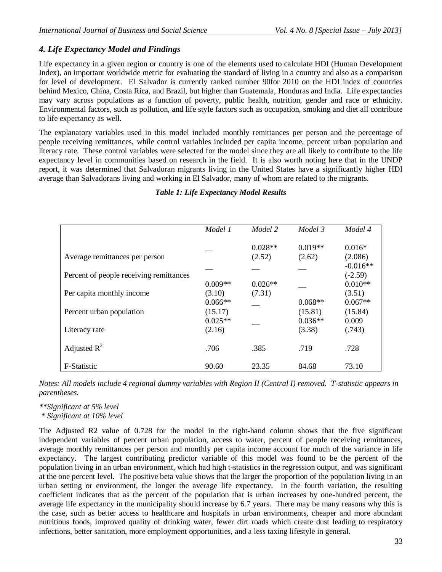# *4. Life Expectancy Model and Findings*

Life expectancy in a given region or country is one of the elements used to calculate HDI (Human Development Index), an important worldwide metric for evaluating the standard of living in a country and also as a comparison for level of development. El Salvador is currently ranked number 90for 2010 on the HDI index of countries behind Mexico, China, Costa Rica, and Brazil, but higher than Guatemala, Honduras and India. Life expectancies may vary across populations as a function of poverty, public health, nutrition, gender and race or ethnicity. Environmental factors, such as pollution, and life style factors such as occupation, smoking and diet all contribute to life expectancy as well.

The explanatory variables used in this model included monthly remittances per person and the percentage of people receiving remittances, while control variables included per capita income, percent urban population and literacy rate. These control variables were selected for the model since they are all likely to contribute to the life expectancy level in communities based on research in the field. It is also worth noting here that in the UNDP report, it was determined that Salvadoran migrants living in the United States have a significantly higher HDI average than Salvadorans living and working in El Salvador, many of whom are related to the migrants.

## *Table 1: Life Expectancy Model Results*

|                                         | Model 1   | Model 2   | Model 3   | Model 4    |
|-----------------------------------------|-----------|-----------|-----------|------------|
|                                         |           | $0.028**$ | $0.019**$ | $0.016*$   |
| Average remittances per person          |           | (2.52)    | (2.62)    | (2.086)    |
|                                         |           |           |           | $-0.016**$ |
| Percent of people receiving remittances |           |           |           | $(-2.59)$  |
|                                         | $0.009**$ | $0.026**$ |           | $0.010**$  |
| Per capita monthly income               | (3.10)    | (7.31)    |           | (3.51)     |
|                                         | $0.066**$ |           | $0.068**$ | $0.067**$  |
| Percent urban population                | (15.17)   |           | (15.81)   | (15.84)    |
|                                         | $0.025**$ |           | $0.036**$ | 0.009      |
| Literacy rate                           | (2.16)    |           | (3.38)    | (.743)     |
| Adjusted $R^2$                          | .706      | .385      | .719      | .728       |
| F-Statistic                             | 90.60     | 23.35     | 84.68     | 73.10      |

*Notes: All models include 4 regional dummy variables with Region II (Central I) removed. T-statistic appears in parentheses.*

*\*\*Significant at 5% level*

*\* Significant at 10% level*

The Adjusted R2 value of 0.728 for the model in the right-hand column shows that the five significant independent variables of percent urban population, access to water, percent of people receiving remittances, average monthly remittances per person and monthly per capita income account for much of the variance in life expectancy. The largest contributing predictor variable of this model was found to be the percent of the population living in an urban environment, which had high t-statistics in the regression output, and was significant at the one percent level. The positive beta value shows that the larger the proportion of the population living in an urban setting or environment, the longer the average life expectancy. In the fourth variation, the resulting coefficient indicates that as the percent of the population that is urban increases by one-hundred percent, the average life expectancy in the municipality should increase by 6.7 years. There may be many reasons why this is the case, such as better access to healthcare and hospitals in urban environments, cheaper and more abundant nutritious foods, improved quality of drinking water, fewer dirt roads which create dust leading to respiratory infections, better sanitation, more employment opportunities, and a less taxing lifestyle in general.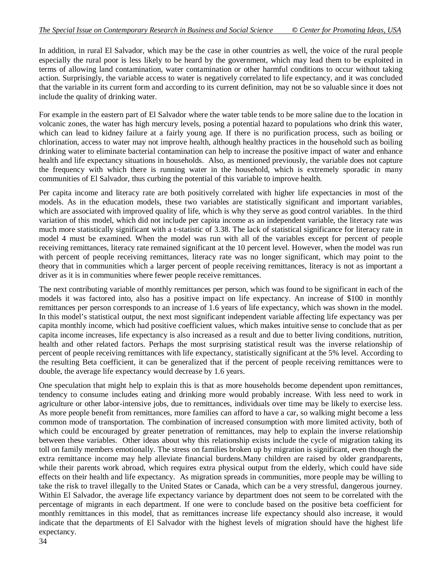In addition, in rural El Salvador, which may be the case in other countries as well, the voice of the rural people especially the rural poor is less likely to be heard by the government, which may lead them to be exploited in terms of allowing land contamination, water contamination or other harmful conditions to occur without taking action. Surprisingly, the variable access to water is negatively correlated to life expectancy, and it was concluded that the variable in its current form and according to its current definition, may not be so valuable since it does not include the quality of drinking water.

For example in the eastern part of El Salvador where the water table tends to be more saline due to the location in volcanic zones, the water has high mercury levels, posing a potential hazard to populations who drink this water, which can lead to kidney failure at a fairly young age. If there is no purification process, such as boiling or chlorination, access to water may not improve health, although healthy practices in the household such as boiling drinking water to eliminate bacterial contamination can help to increase the positive impact of water and enhance health and life expectancy situations in households. Also, as mentioned previously, the variable does not capture the frequency with which there is running water in the household, which is extremely sporadic in many communities of El Salvador, thus curbing the potential of this variable to improve health.

Per capita income and literacy rate are both positively correlated with higher life expectancies in most of the models. As in the education models, these two variables are statistically significant and important variables, which are associated with improved quality of life, which is why they serve as good control variables. In the third variation of this model, which did not include per capita income as an independent variable, the literacy rate was much more statistically significant with a t-statistic of 3.38. The lack of statistical significance for literacy rate in model 4 must be examined. When the model was run with all of the variables except for percent of people receiving remittances, literacy rate remained significant at the 10 percent level. However, when the model was run with percent of people receiving remittances, literacy rate was no longer significant, which may point to the theory that in communities which a larger percent of people receiving remittances, literacy is not as important a driver as it is in communities where fewer people receive remittances.

The next contributing variable of monthly remittances per person, which was found to be significant in each of the models it was factored into, also has a positive impact on life expectancy. An increase of \$100 in monthly remittances per person corresponds to an increase of 1.6 years of life expectancy, which was shown in the model. In this model's statistical output, the next most significant independent variable affecting life expectancy was per capita monthly income, which had positive coefficient values, which makes intuitive sense to conclude that as per capita income increases, life expectancy is also increased as a result and due to better living conditions, nutrition, health and other related factors. Perhaps the most surprising statistical result was the inverse relationship of percent of people receiving remittances with life expectancy, statistically significant at the 5% level. According to the resulting Beta coefficient, it can be generalized that if the percent of people receiving remittances were to double, the average life expectancy would decrease by 1.6 years.

One speculation that might help to explain this is that as more households become dependent upon remittances, tendency to consume includes eating and drinking more would probably increase. With less need to work in agriculture or other labor-intensive jobs, due to remittances, individuals over time may be likely to exercise less. As more people benefit from remittances, more families can afford to have a car, so walking might become a less common mode of transportation. The combination of increased consumption with more limited activity, both of which could be encouraged by greater penetration of remittances, may help to explain the inverse relationship between these variables. Other ideas about why this relationship exists include the cycle of migration taking its toll on family members emotionally. The stress on families broken up by migration is significant, even though the extra remittance income may help alleviate financial burdens.Many children are raised by older grandparents, while their parents work abroad, which requires extra physical output from the elderly, which could have side effects on their health and life expectancy. As migration spreads in communities, more people may be willing to take the risk to travel illegally to the United States or Canada, which can be a very stressful, dangerous journey. Within El Salvador, the average life expectancy variance by department does not seem to be correlated with the percentage of migrants in each department. If one were to conclude based on the positive beta coefficient for monthly remittances in this model, that as remittances increase life expectancy should also increase, it would indicate that the departments of El Salvador with the highest levels of migration should have the highest life expectancy.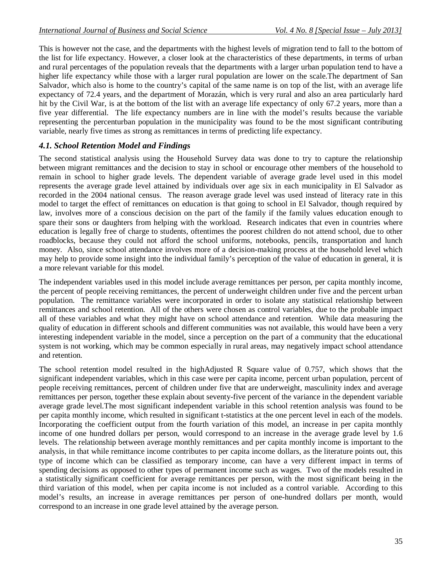This is however not the case, and the departments with the highest levels of migration tend to fall to the bottom of the list for life expectancy. However, a closer look at the characteristics of these departments, in terms of urban and rural percentages of the population reveals that the departments with a larger urban population tend to have a higher life expectancy while those with a larger rural population are lower on the scale.The department of San Salvador, which also is home to the country's capital of the same name is on top of the list, with an average life expectancy of 72.4 years, and the department of Morazán, which is very rural and also an area particularly hard hit by the Civil War, is at the bottom of the list with an average life expectancy of only 67.2 years, more than a five year differential. The life expectancy numbers are in line with the model's results because the variable representing the percenturban population in the municipality was found to be the most significant contributing variable, nearly five times as strong as remittances in terms of predicting life expectancy.

## *4.1. School Retention Model and Findings*

The second statistical analysis using the Household Survey data was done to try to capture the relationship between migrant remittances and the decision to stay in school or encourage other members of the household to remain in school to higher grade levels. The dependent variable of average grade level used in this model represents the average grade level attained by individuals over age six in each municipality in El Salvador as recorded in the 2004 national census. The reason average grade level was used instead of literacy rate in this model to target the effect of remittances on education is that going to school in El Salvador, though required by law, involves more of a conscious decision on the part of the family if the family values education enough to spare their sons or daughters from helping with the workload. Research indicates that even in countries where education is legally free of charge to students, oftentimes the poorest children do not attend school, due to other roadblocks, because they could not afford the school uniforms, notebooks, pencils, transportation and lunch money. Also, since school attendance involves more of a decision-making process at the household level which may help to provide some insight into the individual family's perception of the value of education in general, it is a more relevant variable for this model.

The independent variables used in this model include average remittances per person, per capita monthly income, the percent of people receiving remittances, the percent of underweight children under five and the percent urban population. The remittance variables were incorporated in order to isolate any statistical relationship between remittances and school retention. All of the others were chosen as control variables, due to the probable impact all of these variables and what they might have on school attendance and retention. While data measuring the quality of education in different schools and different communities was not available, this would have been a very interesting independent variable in the model, since a perception on the part of a community that the educational system is not working, which may be common especially in rural areas, may negatively impact school attendance and retention.

The school retention model resulted in the highAdjusted R Square value of 0.757, which shows that the significant independent variables, which in this case were per capita income, percent urban population, percent of people receiving remittances, percent of children under five that are underweight, masculinity index and average remittances per person, together these explain about seventy-five percent of the variance in the dependent variable average grade level.The most significant independent variable in this school retention analysis was found to be per capita monthly income, which resulted in significant t-statistics at the one percent level in each of the models. Incorporating the coefficient output from the fourth variation of this model, an increase in per capita monthly income of one hundred dollars per person, would correspond to an increase in the average grade level by 1.6 levels. The relationship between average monthly remittances and per capita monthly income is important to the analysis, in that while remittance income contributes to per capita income dollars, as the literature points out, this type of income which can be classified as temporary income, can have a very different impact in terms of spending decisions as opposed to other types of permanent income such as wages. Two of the models resulted in a statistically significant coefficient for average remittances per person, with the most significant being in the third variation of this model, when per capita income is not included as a control variable. According to this model's results, an increase in average remittances per person of one-hundred dollars per month, would correspond to an increase in one grade level attained by the average person.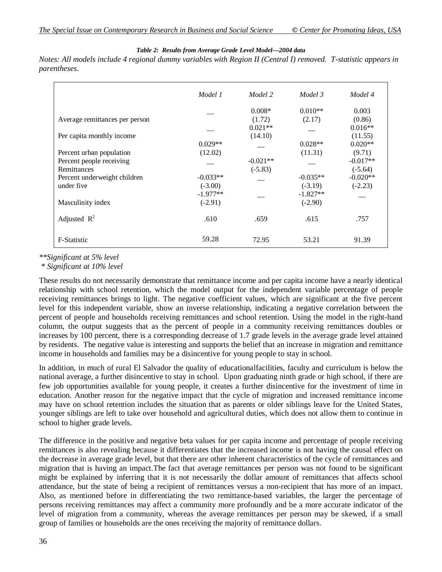#### *Table 2: Results from Average Grade Level Model—2004 data*

*Notes: All models include 4 regional dummy variables with Region II (Central I) removed. T-statistic appears in parentheses.*

|                                | Model 1    | Model 2    | Model 3    | Model 4    |
|--------------------------------|------------|------------|------------|------------|
|                                |            | $0.008*$   | $0.010**$  | 0.003      |
| Average remittances per person |            | (1.72)     | (2.17)     | (0.86)     |
|                                |            | $0.021**$  |            | $0.016**$  |
| Per capita monthly income      |            | (14.10)    |            | (11.55)    |
|                                | $0.029**$  |            | $0.028**$  | $0.020**$  |
| Percent urban population       | (12.02)    |            | (11.31)    | (9.71)     |
| Percent people receiving       |            | $-0.021**$ |            | $-0.017**$ |
| Remittances                    |            | $(-5.83)$  |            | $(-5.64)$  |
| Percent underweight children   | $-0.033**$ |            | $-0.035**$ | $-0.020**$ |
| under five                     | $(-3.00)$  |            | $(-3.19)$  | $(-2.23)$  |
|                                | $-1.977**$ |            | $-1.827**$ |            |
| Masculinity index              | $(-2.91)$  |            | $(-2.90)$  |            |
| Adjusted $R^2$                 | .610       | .659       | .615       | .757       |
| F-Statistic                    | 59.28      | 72.95      | 53.21      | 91.39      |

*\*\*Significant at 5% level*

*\* Significant at 10% level*

These results do not necessarily demonstrate that remittance income and per capita income have a nearly identical relationship with school retention, which the model output for the independent variable percentage of people receiving remittances brings to light. The negative coefficient values, which are significant at the five percent level for this independent variable, show an inverse relationship, indicating a negative correlation between the percent of people and households receiving remittances and school retention. Using the model in the right-hand column, the output suggests that as the percent of people in a community receiving remittances doubles or increases by 100 percent, there is a corresponding decrease of 1.7 grade levels in the average grade level attained by residents. The negative value is interesting and supports the belief that an increase in migration and remittance income in households and families may be a disincentive for young people to stay in school.

In addition, in much of rural El Salvador the quality of educationalfacilities, faculty and curriculum is below the national average, a further disincentive to stay in school. Upon graduating ninth grade or high school, if there are few job opportunities available for young people, it creates a further disincentive for the investment of time in education. Another reason for the negative impact that the cycle of migration and increased remittance income may have on school retention includes the situation that as parents or older siblings leave for the United States, younger siblings are left to take over household and agricultural duties, which does not allow them to continue in school to higher grade levels.

The difference in the positive and negative beta values for per capita income and percentage of people receiving remittances is also revealing because it differentiates that the increased income is not having the causal effect on the decrease in average grade level, but that there are other inherent characteristics of the cycle of remittances and migration that is having an impact.The fact that average remittances per person was not found to be significant might be explained by inferring that it is not necessarily the dollar amount of remittances that affects school attendance, but the state of being a recipient of remittances versus a non-recipient that has more of an impact. Also, as mentioned before in differentiating the two remittance-based variables, the larger the percentage of persons receiving remittances may affect a community more profoundly and be a more accurate indicator of the level of migration from a community, whereas the average remittances per person may be skewed, if a small group of families or households are the ones receiving the majority of remittance dollars.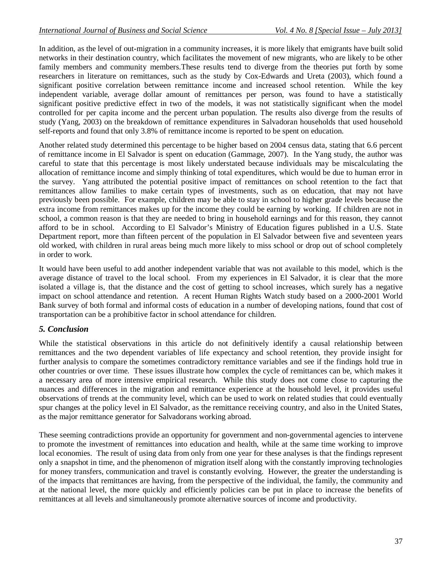In addition, as the level of out-migration in a community increases, it is more likely that emigrants have built solid networks in their destination country, which facilitates the movement of new migrants, who are likely to be other family members and community members.These results tend to diverge from the theories put forth by some researchers in literature on remittances, such as the study by Cox-Edwards and Ureta (2003), which found a significant positive correlation between remittance income and increased school retention. While the key independent variable, average dollar amount of remittances per person, was found to have a statistically significant positive predictive effect in two of the models, it was not statistically significant when the model controlled for per capita income and the percent urban population. The results also diverge from the results of study (Yang, 2003) on the breakdown of remittance expenditures in Salvadoran households that used household self-reports and found that only 3.8% of remittance income is reported to be spent on education.

Another related study determined this percentage to be higher based on 2004 census data, stating that 6.6 percent of remittance income in El Salvador is spent on education (Gammage, 2007). In the Yang study, the author was careful to state that this percentage is most likely understated because individuals may be miscalculating the allocation of remittance income and simply thinking of total expenditures, which would be due to human error in the survey. Yang attributed the potential positive impact of remittances on school retention to the fact that remittances allow families to make certain types of investments, such as on education, that may not have previously been possible. For example, children may be able to stay in school to higher grade levels because the extra income from remittances makes up for the income they could be earning by working. If children are not in school, a common reason is that they are needed to bring in household earnings and for this reason, they cannot afford to be in school. According to El Salvador's Ministry of Education figures published in a U.S. State Department report, more than fifteen percent of the population in El Salvador between five and seventeen years old worked, with children in rural areas being much more likely to miss school or drop out of school completely in order to work.

It would have been useful to add another independent variable that was not available to this model, which is the average distance of travel to the local school. From my experiences in El Salvador, it is clear that the more isolated a village is, that the distance and the cost of getting to school increases, which surely has a negative impact on school attendance and retention. A recent Human Rights Watch study based on a 2000-2001 World Bank survey of both formal and informal costs of education in a number of developing nations, found that cost of transportation can be a prohibitive factor in school attendance for children.

# *5. Conclusion*

While the statistical observations in this article do not definitively identify a causal relationship between remittances and the two dependent variables of life expectancy and school retention, they provide insight for further analysis to compare the sometimes contradictory remittance variables and see if the findings hold true in other countries or over time. These issues illustrate how complex the cycle of remittances can be, which makes it a necessary area of more intensive empirical research. While this study does not come close to capturing the nuances and differences in the migration and remittance experience at the household level, it provides useful observations of trends at the community level, which can be used to work on related studies that could eventually spur changes at the policy level in El Salvador, as the remittance receiving country, and also in the United States, as the major remittance generator for Salvadorans working abroad.

These seeming contradictions provide an opportunity for government and non-governmental agencies to intervene to promote the investment of remittances into education and health, while at the same time working to improve local economies. The result of using data from only from one year for these analyses is that the findings represent only a snapshot in time, and the phenomenon of migration itself along with the constantly improving technologies for money transfers, communication and travel is constantly evolving. However, the greater the understanding is of the impacts that remittances are having, from the perspective of the individual, the family, the community and at the national level, the more quickly and efficiently policies can be put in place to increase the benefits of remittances at all levels and simultaneously promote alternative sources of income and productivity.